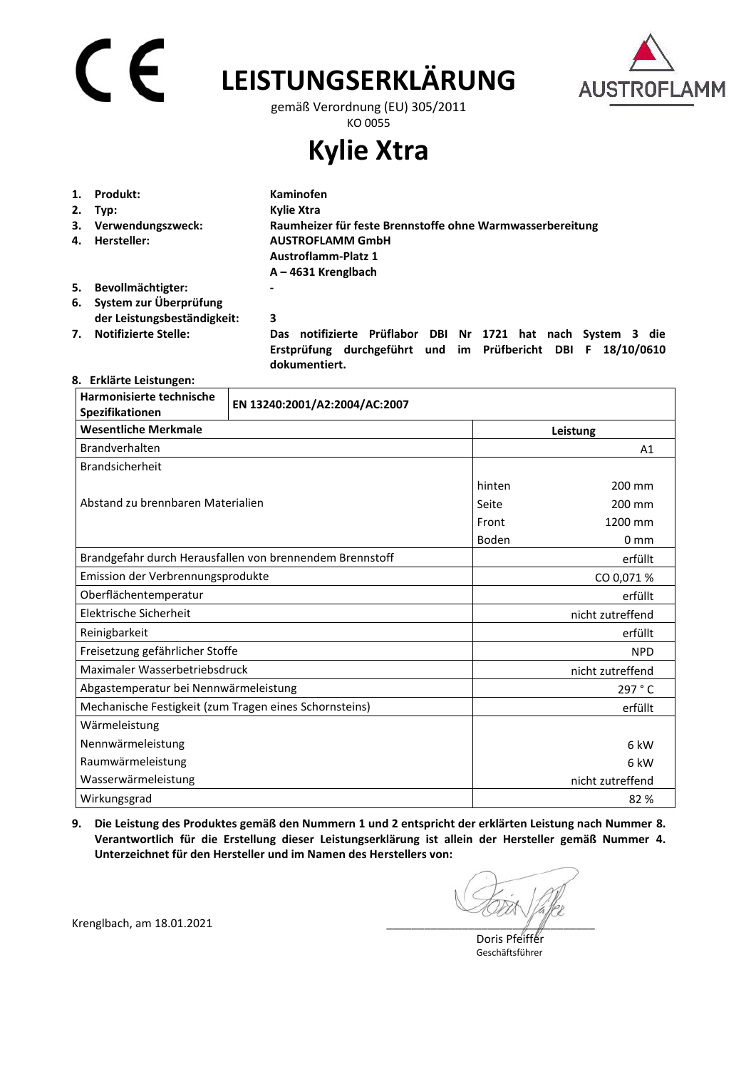# $\mathsf{C}\in$

## **LEISTUNGSERKLÄRUNG**



gemäß Verordnung (EU) 305/2011 KO 0055

**Kylie Xtra** 

|    | Produkt:                    | <b>Kaminofen</b>                                          |
|----|-----------------------------|-----------------------------------------------------------|
| 2. | Typ:                        | Kylie Xtra                                                |
| 3. | Verwendungszweck:           | Raumheizer für feste Brennstoffe ohne Warmwasserbereitung |
| 4. | Hersteller:                 | <b>AUSTROFLAMM GmbH</b>                                   |
|    |                             | <b>Austroflamm-Platz 1</b>                                |
|    |                             | $A - 4631$ Krenglbach                                     |
| 5. | Bevollmächtigter:           | $\overline{\phantom{0}}$                                  |
| 6. | System zur Überprüfung      |                                                           |
|    | der Leistungsbeständigkeit: | 3                                                         |

**7. Notifizierte Stelle: Das notifizierte Prüflabor DBI Nr 1721 hat nach System 3 die Erstprüfung durchgeführt und im Prüfbericht DBI F 18/10/0610 dokumentiert.** 

#### **8. Erklärte Leistungen:**

| Harmonisierte technische<br>Spezifikationen            | EN 13240:2001/A2:2004/AC:2007                            |        |                  |  |
|--------------------------------------------------------|----------------------------------------------------------|--------|------------------|--|
| <b>Wesentliche Merkmale</b>                            |                                                          |        | Leistung         |  |
| Brandverhalten                                         |                                                          |        | A1               |  |
| Brandsicherheit                                        |                                                          |        |                  |  |
| Abstand zu brennbaren Materialien                      |                                                          | hinten | 200 mm           |  |
|                                                        |                                                          | Seite  | 200 mm           |  |
|                                                        |                                                          | Front  | 1200 mm          |  |
|                                                        |                                                          | Boden  | 0 <sub>mm</sub>  |  |
|                                                        | Brandgefahr durch Herausfallen von brennendem Brennstoff |        | erfüllt          |  |
| Emission der Verbrennungsprodukte                      |                                                          |        | CO 0,071 %       |  |
| Oberflächentemperatur                                  |                                                          |        | erfüllt          |  |
| Elektrische Sicherheit                                 |                                                          |        | nicht zutreffend |  |
| Reinigbarkeit                                          |                                                          |        | erfüllt          |  |
| Freisetzung gefährlicher Stoffe                        |                                                          |        | <b>NPD</b>       |  |
| Maximaler Wasserbetriebsdruck                          |                                                          |        | nicht zutreffend |  |
| Abgastemperatur bei Nennwärmeleistung                  |                                                          |        | 297 ° C          |  |
| Mechanische Festigkeit (zum Tragen eines Schornsteins) |                                                          |        | erfüllt          |  |
| Wärmeleistung                                          |                                                          |        |                  |  |
| Nennwärmeleistung                                      |                                                          |        | 6 kW             |  |
| Raumwärmeleistung                                      |                                                          |        | 6 kW             |  |
| Wasserwärmeleistung                                    |                                                          |        | nicht zutreffend |  |
| Wirkungsgrad                                           |                                                          |        | 82%              |  |

**9. Die Leistung des Produktes gemäß den Nummern 1 und 2 entspricht der erklärten Leistung nach Nummer 8. Verantwortlich für die Erstellung dieser Leistungserklärung ist allein der Hersteller gemäß Nummer 4. Unterzeichnet für den Hersteller und im Namen des Herstellers von:** 

 Doris Pfeiffer Geschäftsführer

Krenglbach, am 18.01.2021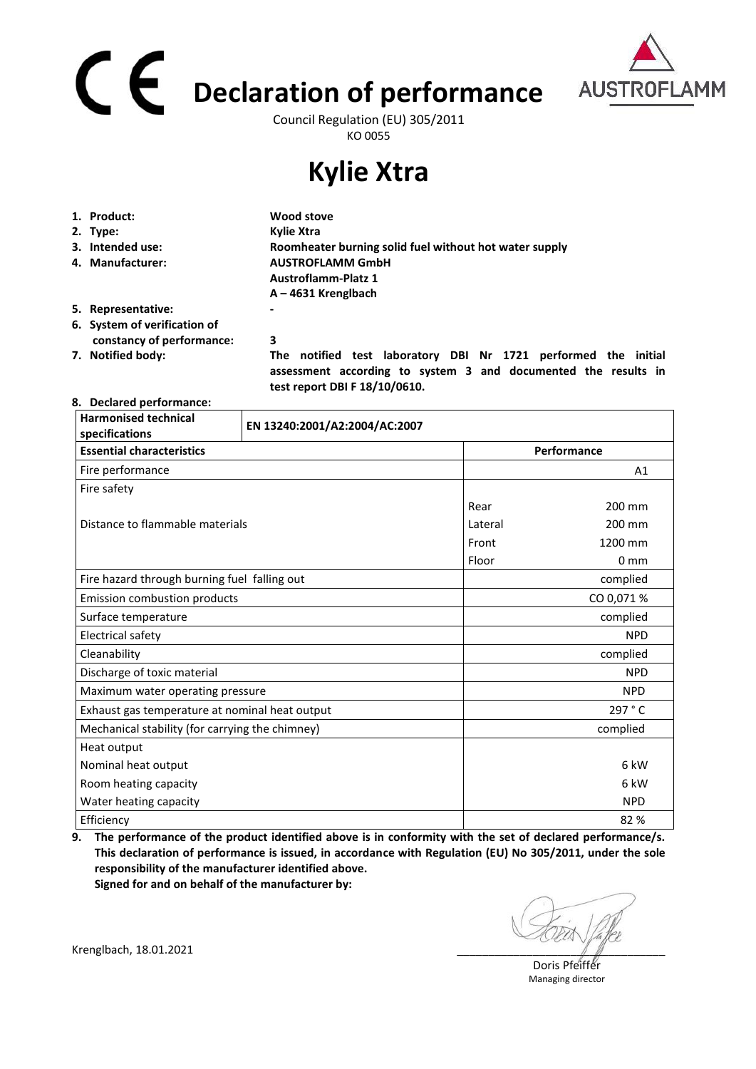# **Declaration of performance**  Council Regulation (EU) 305/2011



KO 0055

## **Kylie Xtra**

| 1. Product:                  | Wood stove                                                              |
|------------------------------|-------------------------------------------------------------------------|
| 2. Type:                     | Kylie Xtra                                                              |
| 3. Intended use:             | Roomheater burning solid fuel without hot water supply                  |
| 4. Manufacturer:             | <b>AUSTROFLAMM GmbH</b>                                                 |
|                              | <b>Austroflamm-Platz 1</b>                                              |
|                              | $A - 4631$ Krenglbach                                                   |
| 5. Representative:           | ۰                                                                       |
| 6. System of verification of |                                                                         |
| constancy of performance:    | 3                                                                       |
| 7. Notified body:            | notified test laboratory<br>DBI Nr 1721 performed the<br>initial<br>The |

 **assessment according to system 3 and documented the results in test report DBI F 18/10/0610.** 

#### **8. Declared performance:**

| <b>Harmonised technical</b><br>specifications   | EN 13240:2001/A2:2004/AC:2007 |         |                 |  |
|-------------------------------------------------|-------------------------------|---------|-----------------|--|
| <b>Essential characteristics</b>                |                               |         | Performance     |  |
| Fire performance                                |                               |         | A1              |  |
| Fire safety                                     |                               |         |                 |  |
|                                                 |                               | Rear    | 200 mm          |  |
| Distance to flammable materials                 |                               | Lateral | 200 mm          |  |
|                                                 |                               | Front   | 1200 mm         |  |
|                                                 |                               | Floor   | 0 <sub>mm</sub> |  |
| Fire hazard through burning fuel falling out    |                               |         | complied        |  |
| Emission combustion products                    |                               |         | CO 0,071 %      |  |
| Surface temperature                             |                               |         | complied        |  |
| Electrical safety                               |                               |         | <b>NPD</b>      |  |
| Cleanability                                    |                               |         | complied        |  |
| Discharge of toxic material                     |                               |         | <b>NPD</b>      |  |
| Maximum water operating pressure                |                               |         | <b>NPD</b>      |  |
| Exhaust gas temperature at nominal heat output  |                               |         | 297 °C          |  |
| Mechanical stability (for carrying the chimney) |                               |         | complied        |  |
| Heat output                                     |                               |         |                 |  |
| Nominal heat output                             |                               |         | 6 kW            |  |
| Room heating capacity                           |                               |         | 6 kW            |  |
| Water heating capacity                          |                               |         | <b>NPD</b>      |  |
| Efficiency                                      |                               |         | 82 %            |  |

**9. The performance of the product identified above is in conformity with the set of declared performance/s. This declaration of performance is issued, in accordance with Regulation (EU) No 305/2011, under the sole responsibility of the manufacturer identified above.** 

**Signed for and on behalf of the manufacturer by:**

Doris Pfeiffer Managing director

Krenglbach, 18.01.2021